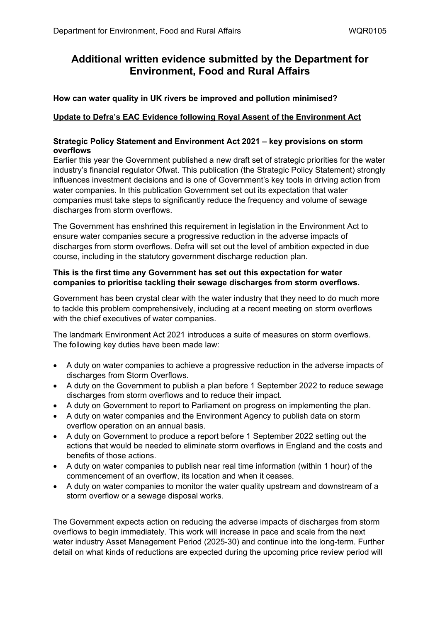# **Additional written evidence submitted by the Department for Environment, Food and Rural Affairs**

# **How can water quality in UK rivers be improved and pollution minimised?**

# **Update to Defra's EAC Evidence following Royal Assent of the Environment Act**

## **Strategic Policy Statement and Environment Act 2021 – key provisions on storm overflows**

Earlier this year the Government published a new draft set of strategic priorities for the water industry's financial regulator Ofwat. This publication (the Strategic Policy Statement) strongly influences investment decisions and is one of Government's key tools in driving action from water companies. In this publication Government set out its expectation that water companies must take steps to significantly reduce the frequency and volume of sewage discharges from storm overflows.

The Government has enshrined this requirement in legislation in the Environment Act to ensure water companies secure a progressive reduction in the adverse impacts of discharges from storm overflows. Defra will set out the level of ambition expected in due course, including in the statutory government discharge reduction plan.

## **This is the first time any Government has set out this expectation for water companies to prioritise tackling their sewage discharges from storm overflows.**

Government has been crystal clear with the water industry that they need to do much more to tackle this problem comprehensively, including at a recent meeting on storm overflows with the chief executives of water companies.

The landmark Environment Act 2021 introduces a suite of measures on storm overflows. The following key duties have been made law:

- A duty on water companies to achieve a progressive reduction in the adverse impacts of discharges from Storm Overflows.
- A duty on the Government to publish a plan before 1 September 2022 to reduce sewage discharges from storm overflows and to reduce their impact.
- A duty on Government to report to Parliament on progress on implementing the plan.
- A duty on water companies and the Environment Agency to publish data on storm overflow operation on an annual basis.
- A duty on Government to produce a report before 1 September 2022 setting out the actions that would be needed to eliminate storm overflows in England and the costs and benefits of those actions.
- A duty on water companies to publish near real time information (within 1 hour) of the commencement of an overflow, its location and when it ceases.
- A duty on water companies to monitor the water quality upstream and downstream of a storm overflow or a sewage disposal works.

The Government expects action on reducing the adverse impacts of discharges from storm overflows to begin immediately. This work will increase in pace and scale from the next water industry Asset Management Period (2025-30) and continue into the long-term. Further detail on what kinds of reductions are expected during the upcoming price review period will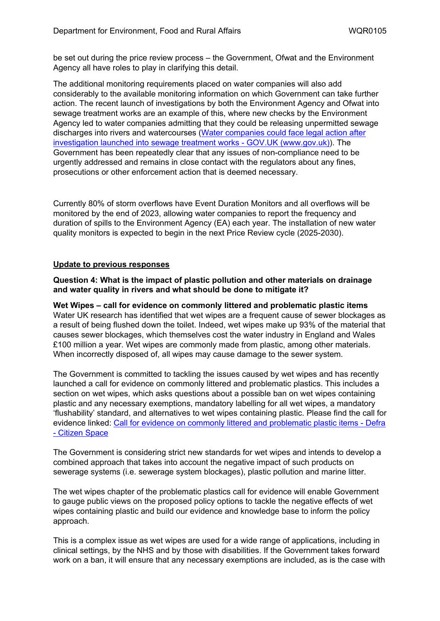be set out during the price review process – the Government, Ofwat and the Environment Agency all have roles to play in clarifying this detail.

The additional monitoring requirements placed on water companies will also add considerably to the available monitoring information on which Government can take further action. The recent launch of investigations by both the Environment Agency and Ofwat into sewage treatment works are an example of this, where new checks by the Environment Agency led to water companies admitting that they could be releasing unpermitted sewage discharges into rivers and watercourses ([Water](https://www.gov.uk/government/news/water-companies-could-face-legal-action-after-investigation-launched-into-sewage-treatment-works) [companies](https://www.gov.uk/government/news/water-companies-could-face-legal-action-after-investigation-launched-into-sewage-treatment-works) [could](https://www.gov.uk/government/news/water-companies-could-face-legal-action-after-investigation-launched-into-sewage-treatment-works) [face](https://www.gov.uk/government/news/water-companies-could-face-legal-action-after-investigation-launched-into-sewage-treatment-works) [legal](https://www.gov.uk/government/news/water-companies-could-face-legal-action-after-investigation-launched-into-sewage-treatment-works) [action](https://www.gov.uk/government/news/water-companies-could-face-legal-action-after-investigation-launched-into-sewage-treatment-works) [after](https://www.gov.uk/government/news/water-companies-could-face-legal-action-after-investigation-launched-into-sewage-treatment-works) [investigation](https://www.gov.uk/government/news/water-companies-could-face-legal-action-after-investigation-launched-into-sewage-treatment-works) [launched](https://www.gov.uk/government/news/water-companies-could-face-legal-action-after-investigation-launched-into-sewage-treatment-works) [into](https://www.gov.uk/government/news/water-companies-could-face-legal-action-after-investigation-launched-into-sewage-treatment-works) [sewage](https://www.gov.uk/government/news/water-companies-could-face-legal-action-after-investigation-launched-into-sewage-treatment-works) [treatment](https://www.gov.uk/government/news/water-companies-could-face-legal-action-after-investigation-launched-into-sewage-treatment-works) [works](https://www.gov.uk/government/news/water-companies-could-face-legal-action-after-investigation-launched-into-sewage-treatment-works) [-](https://www.gov.uk/government/news/water-companies-could-face-legal-action-after-investigation-launched-into-sewage-treatment-works) [GOV.UK](https://www.gov.uk/government/news/water-companies-could-face-legal-action-after-investigation-launched-into-sewage-treatment-works) [\(www.gov.uk\)](https://www.gov.uk/government/news/water-companies-could-face-legal-action-after-investigation-launched-into-sewage-treatment-works)). The Government has been repeatedly clear that any issues of non-compliance need to be urgently addressed and remains in close contact with the regulators about any fines, prosecutions or other enforcement action that is deemed necessary.

Currently 80% of storm overflows have Event Duration Monitors and all overflows will be monitored by the end of 2023, allowing water companies to report the frequency and duration of spills to the Environment Agency (EA) each year. The installation of new water quality monitors is expected to begin in the next Price Review cycle (2025-2030).

## **Update to previous responses**

**Question 4: What is the impact of plastic pollution and other materials on drainage and water quality in rivers and what should be done to mitigate it?**

**Wet Wipes – call for evidence on commonly littered and problematic plastic items** Water UK research has identified that wet wipes are a frequent cause of sewer blockages as a result of being flushed down the toilet. Indeed, wet wipes make up 93% of the material that causes sewer blockages, which themselves cost the water industry in England and Wales £100 million a year. Wet wipes are commonly made from plastic, among other materials. When incorrectly disposed of, all wipes may cause damage to the sewer system.

The Government is committed to tackling the issues caused by wet wipes and has recently launched a call for evidence on commonly littered and problematic plastics. This includes a section on wet wipes, which asks questions about a possible ban on wet wipes containing plastic and any necessary exemptions, mandatory labelling for all wet wipes, a mandatory 'flushability' standard, and alternatives to wet wipes containing plastic. Please find the call for evidence linked: [Call](https://consult.defra.gov.uk/environmental-quality/call-for-evidence-on-commonly-littered-and-problem/) [for](https://consult.defra.gov.uk/environmental-quality/call-for-evidence-on-commonly-littered-and-problem/) [evidence](https://consult.defra.gov.uk/environmental-quality/call-for-evidence-on-commonly-littered-and-problem/) [on](https://consult.defra.gov.uk/environmental-quality/call-for-evidence-on-commonly-littered-and-problem/) [commonly](https://consult.defra.gov.uk/environmental-quality/call-for-evidence-on-commonly-littered-and-problem/) [littered](https://consult.defra.gov.uk/environmental-quality/call-for-evidence-on-commonly-littered-and-problem/) [and](https://consult.defra.gov.uk/environmental-quality/call-for-evidence-on-commonly-littered-and-problem/) [problematic](https://consult.defra.gov.uk/environmental-quality/call-for-evidence-on-commonly-littered-and-problem/) [plastic](https://consult.defra.gov.uk/environmental-quality/call-for-evidence-on-commonly-littered-and-problem/) [items](https://consult.defra.gov.uk/environmental-quality/call-for-evidence-on-commonly-littered-and-problem/) [-](https://consult.defra.gov.uk/environmental-quality/call-for-evidence-on-commonly-littered-and-problem/) [Defra](https://consult.defra.gov.uk/environmental-quality/call-for-evidence-on-commonly-littered-and-problem/) [-](https://consult.defra.gov.uk/environmental-quality/call-for-evidence-on-commonly-littered-and-problem/) [Citizen](https://consult.defra.gov.uk/environmental-quality/call-for-evidence-on-commonly-littered-and-problem/) [Space](https://consult.defra.gov.uk/environmental-quality/call-for-evidence-on-commonly-littered-and-problem/)

The Government is considering strict new standards for wet wipes and intends to develop a combined approach that takes into account the negative impact of such products on sewerage systems (i.e. sewerage system blockages), plastic pollution and marine litter.

The wet wipes chapter of the problematic plastics call for evidence will enable Government to gauge public views on the proposed policy options to tackle the negative effects of wet wipes containing plastic and build our evidence and knowledge base to inform the policy approach.

This is a complex issue as wet wipes are used for a wide range of applications, including in clinical settings, by the NHS and by those with disabilities. If the Government takes forward work on a ban, it will ensure that any necessary exemptions are included, as is the case with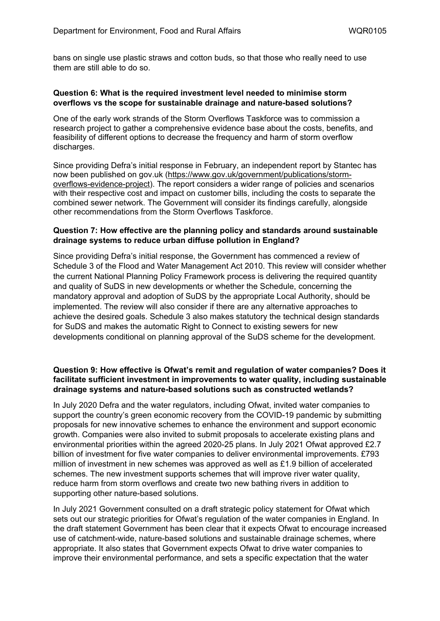bans on single use plastic straws and cotton buds, so that those who really need to use them are still able to do so.

#### **Question 6: What is the required investment level needed to minimise storm overflows vs the scope for sustainable drainage and nature-based solutions?**

One of the early work strands of the Storm Overflows Taskforce was to commission a research project to gather a comprehensive evidence base about the costs, benefits, and feasibility of different options to decrease the frequency and harm of storm overflow discharges.

Since providing Defra's initial response in February, an independent report by Stantec has now been published on gov.uk [\(https://www.gov.uk/government/publications/storm](https://eur03.safelinks.protection.outlook.com/?url=https%3A%2F%2Fwww.gov.uk%2Fgovernment%2Fpublications%2Fstorm-overflows-evidence-project&data=04%7C01%7CElizabeth.Allen%40defra.gov.uk%7Cfea1d86ef3fa42816fdc08d9a5135857%7C770a245002274c6290c74e38537f1102%7C0%7C0%7C637722324762106253%7CUnknown%7CTWFpbGZsb3d8eyJWIjoiMC4wLjAwMDAiLCJQIjoiV2luMzIiLCJBTiI6Ik1haWwiLCJXVCI6Mn0%3D%7C1000&sdata=RHu6VtpugbKp6I6nN6rfQevjUo2p5UjFnNyBmkwUZps%3D&reserved=0)[overflows-evidence-project\)](https://eur03.safelinks.protection.outlook.com/?url=https%3A%2F%2Fwww.gov.uk%2Fgovernment%2Fpublications%2Fstorm-overflows-evidence-project&data=04%7C01%7CElizabeth.Allen%40defra.gov.uk%7Cfea1d86ef3fa42816fdc08d9a5135857%7C770a245002274c6290c74e38537f1102%7C0%7C0%7C637722324762106253%7CUnknown%7CTWFpbGZsb3d8eyJWIjoiMC4wLjAwMDAiLCJQIjoiV2luMzIiLCJBTiI6Ik1haWwiLCJXVCI6Mn0%3D%7C1000&sdata=RHu6VtpugbKp6I6nN6rfQevjUo2p5UjFnNyBmkwUZps%3D&reserved=0). The report considers a wider range of policies and scenarios with their respective cost and impact on customer bills, including the costs to separate the combined sewer network. The Government will consider its findings carefully, alongside other recommendations from the Storm Overflows Taskforce.

## **Question 7: How effective are the planning policy and standards around sustainable drainage systems to reduce urban diffuse pollution in England?**

Since providing Defra's initial response, the Government has commenced a review of Schedule 3 of the Flood and Water Management Act 2010. This review will consider whether the current National Planning Policy Framework process is delivering the required quantity and quality of SuDS in new developments or whether the Schedule, concerning the mandatory approval and adoption of SuDS by the appropriate Local Authority, should be implemented. The review will also consider if there are any alternative approaches to achieve the desired goals. Schedule 3 also makes statutory the technical design standards for SuDS and makes the automatic Right to Connect to existing sewers for new developments conditional on planning approval of the SuDS scheme for the development.

## **Question 9: How effective is Ofwat's remit and regulation of water companies? Does it facilitate sufficient investment in improvements to water quality, including sustainable drainage systems and nature-based solutions such as constructed wetlands?**

In July 2020 Defra and the water regulators, including Ofwat, invited water companies to support the country's green economic recovery from the COVID-19 pandemic by submitting proposals for new innovative schemes to enhance the environment and support economic growth. Companies were also invited to submit proposals to accelerate existing plans and environmental priorities within the agreed 2020-25 plans. In July 2021 Ofwat approved £2.7 billion of investment for five water companies to deliver environmental improvements. £793 million of investment in new schemes was approved as well as £1.9 billion of accelerated schemes. The new investment supports schemes that will improve river water quality, reduce harm from storm overflows and create two new bathing rivers in addition to supporting other nature-based solutions.

In July 2021 Government consulted on a draft strategic policy statement for Ofwat which sets out our strategic priorities for Ofwat's regulation of the water companies in England. In the draft statement Government has been clear that it expects Ofwat to encourage increased use of catchment-wide, nature-based solutions and sustainable drainage schemes, where appropriate. It also states that Government expects Ofwat to drive water companies to improve their environmental performance, and sets a specific expectation that the water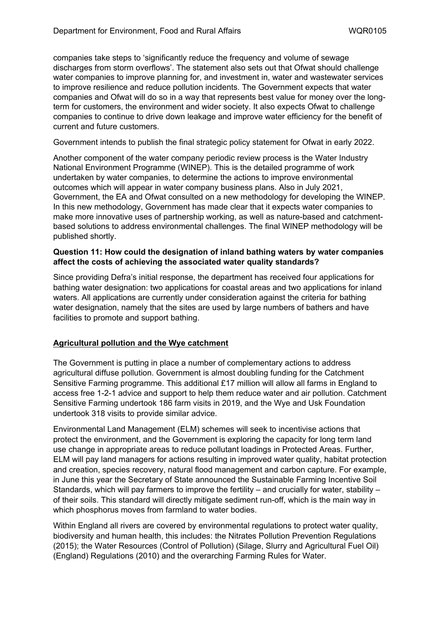companies take steps to 'significantly reduce the frequency and volume of sewage discharges from storm overflows'. The statement also sets out that Ofwat should challenge water companies to improve planning for, and investment in, water and wastewater services to improve resilience and reduce pollution incidents. The Government expects that water companies and Ofwat will do so in a way that represents best value for money over the longterm for customers, the environment and wider society. It also expects Ofwat to challenge companies to continue to drive down leakage and improve water efficiency for the benefit of current and future customers.

Government intends to publish the final strategic policy statement for Ofwat in early 2022.

Another component of the water company periodic review process is the Water Industry National Environment Programme (WINEP). This is the detailed programme of work undertaken by water companies, to determine the actions to improve environmental outcomes which will appear in water company business plans. Also in July 2021, Government, the EA and Ofwat consulted on a new methodology for developing the WINEP. In this new methodology, Government has made clear that it expects water companies to make more innovative uses of partnership working, as well as nature-based and catchmentbased solutions to address environmental challenges. The final WINEP methodology will be published shortly.

#### **Question 11: How could the designation of inland bathing waters by water companies affect the costs of achieving the associated water quality standards?**

Since providing Defra's initial response, the department has received four applications for bathing water designation: two applications for coastal areas and two applications for inland waters. All applications are currently under consideration against the criteria for bathing water designation, namely that the sites are used by large numbers of bathers and have facilities to promote and support bathing.

## **Agricultural pollution and the Wye catchment**

The Government is putting in place a number of complementary actions to address agricultural diffuse pollution. Government is almost doubling funding for the Catchment Sensitive Farming programme. This additional £17 million will allow all farms in England to access free 1-2-1 advice and support to help them reduce water and air pollution. Catchment Sensitive Farming undertook 186 farm visits in 2019, and the Wye and Usk Foundation undertook 318 visits to provide similar advice.

Environmental Land Management (ELM) schemes will seek to incentivise actions that protect the environment, and the Government is exploring the capacity for long term land use change in appropriate areas to reduce pollutant loadings in Protected Areas. Further, ELM will pay land managers for actions resulting in improved water quality, habitat protection and creation, species recovery, natural flood management and carbon capture. For example, in June this year the Secretary of State announced the Sustainable Farming Incentive Soil Standards, which will pay farmers to improve the fertility – and crucially for water, stability – of their soils. This standard will directly mitigate sediment run-off, which is the main way in which phosphorus moves from farmland to water bodies.

Within England all rivers are covered by environmental regulations to protect water quality, biodiversity and human health, this includes: the Nitrates Pollution Prevention Regulations (2015); the Water Resources (Control of Pollution) (Silage, Slurry and Agricultural Fuel Oil) (England) Regulations (2010) and the overarching Farming Rules for Water.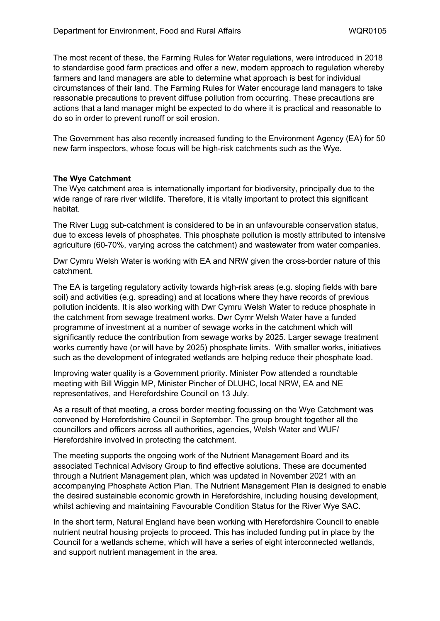The most recent of these, the Farming Rules for Water regulations, were introduced in 2018 to standardise good farm practices and offer a new, modern approach to regulation whereby farmers and land managers are able to determine what approach is best for individual circumstances of their land. The Farming Rules for Water encourage land managers to take reasonable precautions to prevent diffuse pollution from occurring. These precautions are actions that a land manager might be expected to do where it is practical and reasonable to do so in order to prevent runoff or soil erosion.

The Government has also recently increased funding to the Environment Agency (EA) for 50 new farm inspectors, whose focus will be high-risk catchments such as the Wye.

## **The Wye Catchment**

The Wye catchment area is internationally important for biodiversity, principally due to the wide range of rare river wildlife. Therefore, it is vitally important to protect this significant habitat.

The River Lugg sub-catchment is considered to be in an unfavourable conservation status, due to excess levels of phosphates. This phosphate pollution is mostly attributed to intensive agriculture (60-70%, varying across the catchment) and wastewater from water companies.

Dwr Cymru Welsh Water is working with EA and NRW given the cross-border nature of this catchment.

The EA is targeting regulatory activity towards high-risk areas (e.g. sloping fields with bare soil) and activities (e.g. spreading) and at locations where they have records of previous pollution incidents. It is also working with Dwr Cymru Welsh Water to reduce phosphate in the catchment from sewage treatment works. Dwr Cymr Welsh Water have a funded programme of investment at a number of sewage works in the catchment which will significantly reduce the contribution from sewage works by 2025. Larger sewage treatment works currently have (or will have by 2025) phosphate limits. With smaller works, initiatives such as the development of integrated wetlands are helping reduce their phosphate load.

Improving water quality is a Government priority. Minister Pow attended a roundtable meeting with Bill Wiggin MP, Minister Pincher of DLUHC, local NRW, EA and NE representatives, and Herefordshire Council on 13 July.

As a result of that meeting, a cross border meeting focussing on the Wye Catchment was convened by Herefordshire Council in September. The group brought together all the councillors and officers across all authorities, agencies, Welsh Water and WUF/ Herefordshire involved in protecting the catchment.

The meeting supports the ongoing work of the Nutrient Management Board and its associated Technical Advisory Group to find effective solutions. These are documented through a Nutrient Management plan, which was updated in November 2021 with an accompanying Phosphate Action Plan. The Nutrient Management Plan is designed to enable the desired sustainable economic growth in Herefordshire, including housing development, whilst achieving and maintaining Favourable Condition Status for the River Wye SAC.

In the short term, Natural England have been working with Herefordshire Council to enable nutrient neutral housing projects to proceed. This has included funding put in place by the Council for a wetlands scheme, which will have a series of eight interconnected wetlands, and support nutrient management in the area.